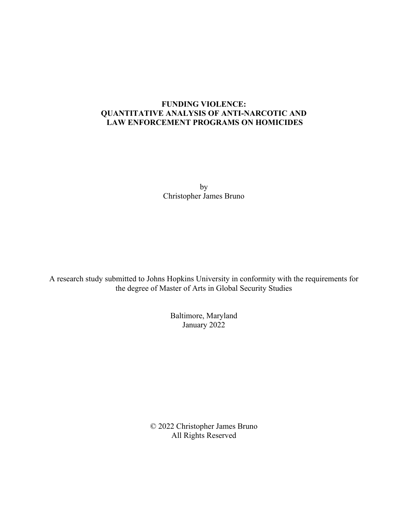## **FUNDING VIOLENCE: QUANTITATIVE ANALYSIS OF ANTI-NARCOTIC AND LAW ENFORCEMENT PROGRAMS ON HOMICIDES**

by Christopher James Bruno

A research study submitted to Johns Hopkins University in conformity with the requirements for the degree of Master of Arts in Global Security Studies

> Baltimore, Maryland January 2022

© 2022 Christopher James Bruno All Rights Reserved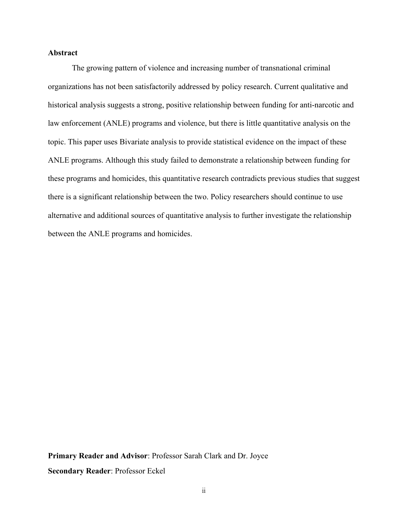## **Abstract**

The growing pattern of violence and increasing number of transnational criminal organizations has not been satisfactorily addressed by policy research. Current qualitative and historical analysis suggests a strong, positive relationship between funding for anti-narcotic and law enforcement (ANLE) programs and violence, but there is little quantitative analysis on the topic. This paper uses Bivariate analysis to provide statistical evidence on the impact of these ANLE programs. Although this study failed to demonstrate a relationship between funding for these programs and homicides, this quantitative research contradicts previous studies that suggest there is a significant relationship between the two. Policy researchers should continue to use alternative and additional sources of quantitative analysis to further investigate the relationship between the ANLE programs and homicides.

**Primary Reader and Advisor**: Professor Sarah Clark and Dr. Joyce **Secondary Reader**: Professor Eckel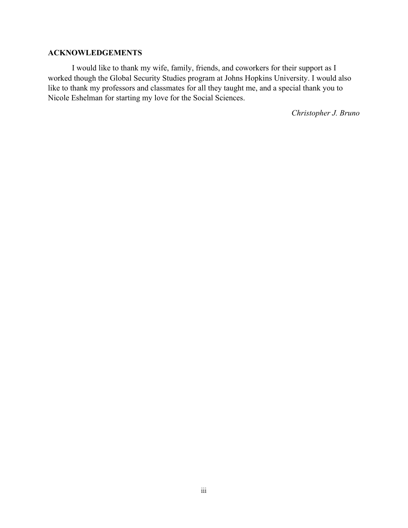## **ACKNOWLEDGEMENTS**

I would like to thank my wife, family, friends, and coworkers for their support as I worked though the Global Security Studies program at Johns Hopkins University. I would also like to thank my professors and classmates for all they taught me, and a special thank you to Nicole Eshelman for starting my love for the Social Sciences.

*Christopher J. Bruno*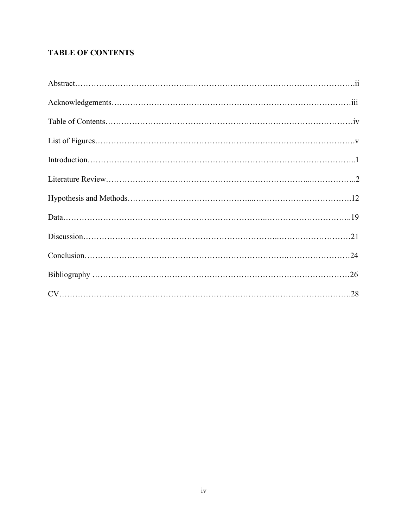# **TABLE OF CONTENTS**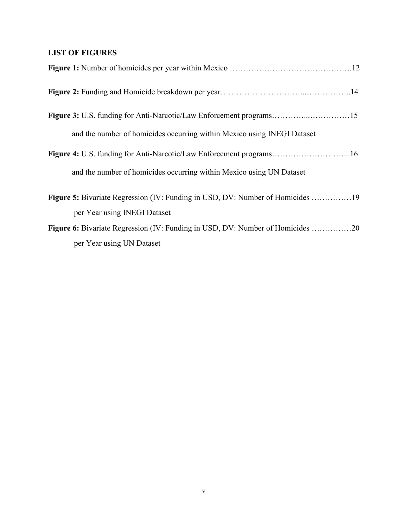# **LIST OF FIGURES**

| and the number of homicides occurring within Mexico using INEGI Dataset        |  |
|--------------------------------------------------------------------------------|--|
|                                                                                |  |
| and the number of homicides occurring within Mexico using UN Dataset           |  |
| Figure 5: Bivariate Regression (IV: Funding in USD, DV: Number of Homicides 19 |  |
| per Year using INEGI Dataset                                                   |  |
| Figure 6: Bivariate Regression (IV: Funding in USD, DV: Number of Homicides 20 |  |
| per Year using UN Dataset                                                      |  |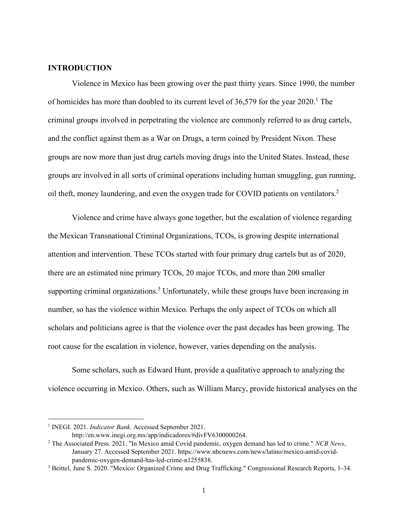### **INTRODUCTION**

Violence in Mexico has been growing over the past thirty years. Since 1990, the number of homicides has more than doubled to its current level of 36,579 for the year 2020.<sup>1</sup> The criminal groups involved in perpetrating the violence are commonly referred to as drug cartels, and the conflict against them as a War on Drugs, a term coined by President Nixon. These groups are now more than just drug cartels moving drugs into the United States. Instead, these groups are involved in all sorts of criminal operations including human smuggling, gun running, oil theft, money laundering, and even the oxygen trade for COVID patients on ventilators. 2

Violence and crime have always gone together, but the escalation of violence regarding the Mexican Transnational Criminal Organizations, TCOs, is growing despite international attention and intervention. These TCOs started with four primary drug cartels but as of 2020, there are an estimated nine primary TCOs, 20 major TCOs, and more than 200 smaller supporting criminal organizations.<sup>3</sup> Unfortunately, while these groups have been increasing in number, so has the violence within Mexico. Perhaps the only aspect of TCOs on which all scholars and politicians agree is that the violence over the past decades has been growing. The root cause for the escalation in violence, however, varies depending on the analysis.

Some scholars, such as Edward Hunt, provide a qualitative approach to analyzing the violence occurring in Mexico. Others, such as William Marcy, provide historical analyses on the

<sup>&</sup>lt;sup>1</sup> INEGI. 2021. *Indicator Bank*. Accessed September 2021.

http://en.www.inegi.org.mx/app/indicadores/#divFV6300000264.

<sup>2</sup> The Associated Press. 2021. "In Mexico amid Covid pandemic, oxygen demand has led to crime." *NCB News*, January 27. Accessed September 2021. https://www.nbcnews.com/news/latino/mexico-amid-covidpandemic-oxygen-demand-has-led-crime-n1255838.

<sup>&</sup>lt;sup>3</sup> Beittel, June S. 2020. "Mexico: Organized Crime and Drug Trafficking." Congressional Research Reports, 1-34.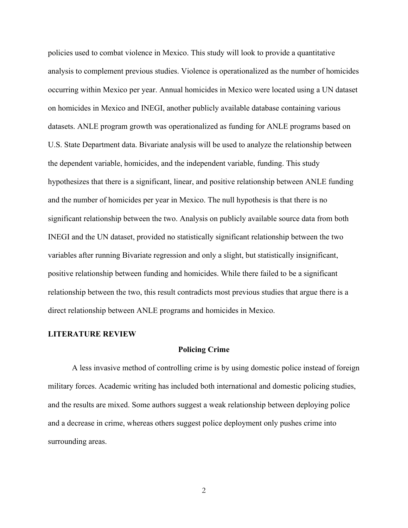policies used to combat violence in Mexico. This study will look to provide a quantitative analysis to complement previous studies. Violence is operationalized as the number of homicides occurring within Mexico per year. Annual homicides in Mexico were located using a UN dataset on homicides in Mexico and INEGI, another publicly available database containing various datasets. ANLE program growth was operationalized as funding for ANLE programs based on U.S. State Department data. Bivariate analysis will be used to analyze the relationship between the dependent variable, homicides, and the independent variable, funding. This study hypothesizes that there is a significant, linear, and positive relationship between ANLE funding and the number of homicides per year in Mexico. The null hypothesis is that there is no significant relationship between the two. Analysis on publicly available source data from both INEGI and the UN dataset, provided no statistically significant relationship between the two variables after running Bivariate regression and only a slight, but statistically insignificant, positive relationship between funding and homicides. While there failed to be a significant relationship between the two, this result contradicts most previous studies that argue there is a direct relationship between ANLE programs and homicides in Mexico.

### **LITERATURE REVIEW**

#### **Policing Crime**

A less invasive method of controlling crime is by using domestic police instead of foreign military forces. Academic writing has included both international and domestic policing studies, and the results are mixed. Some authors suggest a weak relationship between deploying police and a decrease in crime, whereas others suggest police deployment only pushes crime into surrounding areas.

2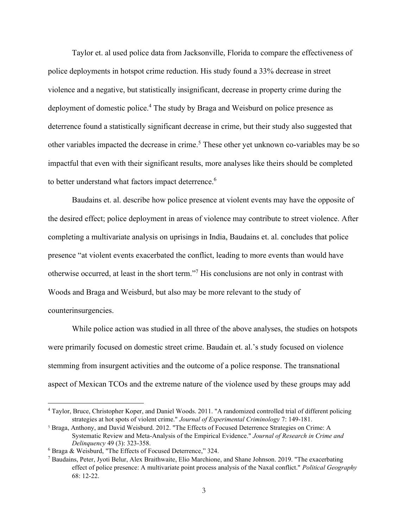Taylor et. al used police data from Jacksonville, Florida to compare the effectiveness of police deployments in hotspot crime reduction. His study found a 33% decrease in street violence and a negative, but statistically insignificant, decrease in property crime during the deployment of domestic police.<sup>4</sup> The study by Braga and Weisburd on police presence as deterrence found a statistically significant decrease in crime, but their study also suggested that other variables impacted the decrease in crime. <sup>5</sup> These other yet unknown co-variables may be so impactful that even with their significant results, more analyses like theirs should be completed to better understand what factors impact deterrence.<sup>6</sup>

Baudains et. al. describe how police presence at violent events may have the opposite of the desired effect; police deployment in areas of violence may contribute to street violence. After completing a multivariate analysis on uprisings in India, Baudains et. al. concludes that police presence "at violent events exacerbated the conflict, leading to more events than would have otherwise occurred, at least in the short term."<sup>7</sup> His conclusions are not only in contrast with Woods and Braga and Weisburd, but also may be more relevant to the study of counterinsurgencies.

While police action was studied in all three of the above analyses, the studies on hotspots were primarily focused on domestic street crime. Baudain et. al.'s study focused on violence stemming from insurgent activities and the outcome of a police response. The transnational aspect of Mexican TCOs and the extreme nature of the violence used by these groups may add

<sup>4</sup> Taylor, Bruce, Christopher Koper, and Daniel Woods. 2011. "A randomized controlled trial of different policing strategies at hot spots of violent crime." *Journal of Experimental Criminology* 7: 149-181.

<sup>5</sup> Braga, Anthony, and David Weisburd. 2012. "The Effects of Focused Deterrence Strategies on Crime: A Systematic Review and Meta-Analysis of the Empirical Evidence." *Journal of Research in Crime and Delinquency* 49 (3): 323-358.

<sup>6</sup> Braga & Weisburd, "The Effects of Focused Deterrence," 324.

<sup>7</sup> Baudains, Peter, Jyoti Belur, Alex Braithwaite, Elio Marchione, and Shane Johnson. 2019. "The exacerbating effect of police presence: A multivariate point process analysis of the Naxal conflict." *Political Geography* 68: 12-22.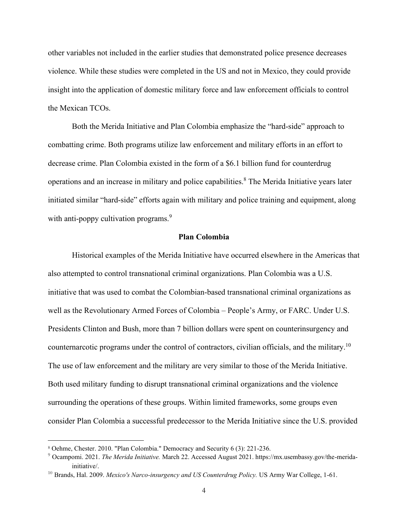other variables not included in the earlier studies that demonstrated police presence decreases violence. While these studies were completed in the US and not in Mexico, they could provide insight into the application of domestic military force and law enforcement officials to control the Mexican TCOs.

Both the Merida Initiative and Plan Colombia emphasize the "hard-side" approach to combatting crime. Both programs utilize law enforcement and military efforts in an effort to decrease crime. Plan Colombia existed in the form of a \$6.1 billion fund for counterdrug operations and an increase in military and police capabilities.<sup>8</sup> The Merida Initiative years later initiated similar "hard-side" efforts again with military and police training and equipment, along with anti-poppy cultivation programs.<sup>9</sup>

#### **Plan Colombia**

Historical examples of the Merida Initiative have occurred elsewhere in the Americas that also attempted to control transnational criminal organizations. Plan Colombia was a U.S. initiative that was used to combat the Colombian-based transnational criminal organizations as well as the Revolutionary Armed Forces of Colombia – People's Army, or FARC. Under U.S. Presidents Clinton and Bush, more than 7 billion dollars were spent on counterinsurgency and counternarcotic programs under the control of contractors, civilian officials, and the military.<sup>10</sup> The use of law enforcement and the military are very similar to those of the Merida Initiative. Both used military funding to disrupt transnational criminal organizations and the violence surrounding the operations of these groups. Within limited frameworks, some groups even consider Plan Colombia a successful predecessor to the Merida Initiative since the U.S. provided

<sup>8</sup> Oehme, Chester. 2010. "Plan Colombia." Democracy and Security 6 (3): 221-236.

<sup>9</sup> Ocampomi. 2021. *The Merida Initiative.* March 22. Accessed August 2021. https://mx.usembassy.gov/the-meridainitiative/.

<sup>&</sup>lt;sup>10</sup> Brands, Hal. 2009. Mexico's Narco-insurgency and US Counterdrug Policy. US Army War College, 1-61.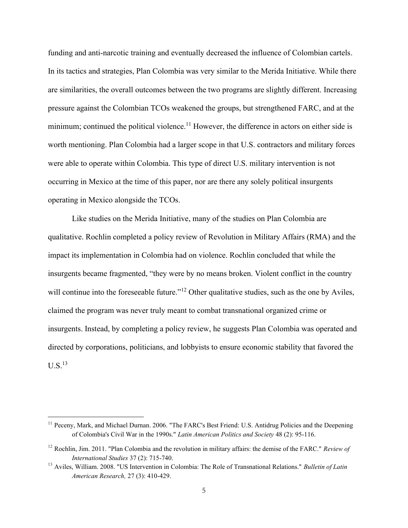funding and anti-narcotic training and eventually decreased the influence of Colombian cartels. In its tactics and strategies, Plan Colombia was very similar to the Merida Initiative. While there are similarities, the overall outcomes between the two programs are slightly different. Increasing pressure against the Colombian TCOs weakened the groups, but strengthened FARC, and at the minimum; continued the political violence.<sup>11</sup> However, the difference in actors on either side is worth mentioning. Plan Colombia had a larger scope in that U.S. contractors and military forces were able to operate within Colombia. This type of direct U.S. military intervention is not occurring in Mexico at the time of this paper, nor are there any solely political insurgents operating in Mexico alongside the TCOs.

Like studies on the Merida Initiative, many of the studies on Plan Colombia are qualitative. Rochlin completed a policy review of Revolution in Military Affairs (RMA) and the impact its implementation in Colombia had on violence. Rochlin concluded that while the insurgents became fragmented, "they were by no means broken. Violent conflict in the country will continue into the foreseeable future."<sup>12</sup> Other qualitative studies, such as the one by Aviles, claimed the program was never truly meant to combat transnational organized crime or insurgents. Instead, by completing a policy review, he suggests Plan Colombia was operated and directed by corporations, politicians, and lobbyists to ensure economic stability that favored the  $U.S.<sup>13</sup>$ 

<sup>&</sup>lt;sup>11</sup> Peceny, Mark, and Michael Durnan. 2006. "The FARC's Best Friend: U.S. Antidrug Policies and the Deepening of Colombia's Civil War in the 1990s." *Latin American Politics and Society* 48 (2): 95-116.

<sup>12</sup> Rochlin, Jim. 2011. "Plan Colombia and the revolution in military affairs: the demise of the FARC." *Review of International Studies* 37 (2): 715-740.

<sup>13</sup> Aviles, William. 2008. "US Intervention in Colombia: The Role of Transnational Relations." *Bulletin of Latin American Research,* 27 (3): 410-429.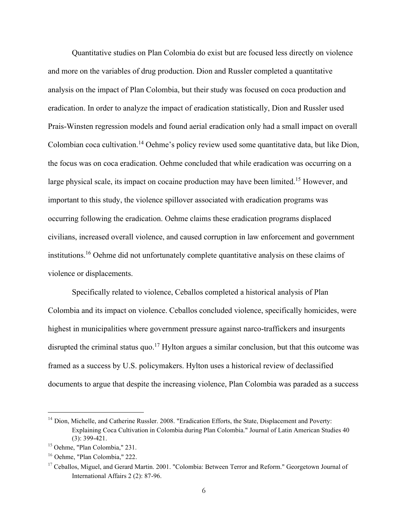Quantitative studies on Plan Colombia do exist but are focused less directly on violence and more on the variables of drug production. Dion and Russler completed a quantitative analysis on the impact of Plan Colombia, but their study was focused on coca production and eradication. In order to analyze the impact of eradication statistically, Dion and Russler used Prais-Winsten regression models and found aerial eradication only had a small impact on overall Colombian coca cultivation.<sup>14</sup> Oehme's policy review used some quantitative data, but like Dion, the focus was on coca eradication. Oehme concluded that while eradication was occurring on a large physical scale, its impact on cocaine production may have been limited.<sup>15</sup> However, and important to this study, the violence spillover associated with eradication programs was occurring following the eradication. Oehme claims these eradication programs displaced civilians, increased overall violence, and caused corruption in law enforcement and government institutions.<sup>16</sup> Oehme did not unfortunately complete quantitative analysis on these claims of violence or displacements.

Specifically related to violence, Ceballos completed a historical analysis of Plan Colombia and its impact on violence. Ceballos concluded violence, specifically homicides, were highest in municipalities where government pressure against narco-traffickers and insurgents disrupted the criminal status quo.<sup>17</sup> Hylton argues a similar conclusion, but that this outcome was framed as a success by U.S. policymakers. Hylton uses a historical review of declassified documents to argue that despite the increasing violence, Plan Colombia was paraded as a success

<sup>&</sup>lt;sup>14</sup> Dion, Michelle, and Catherine Russler. 2008. "Eradication Efforts, the State, Displacement and Poverty: Explaining Coca Cultivation in Colombia during Plan Colombia." Journal of Latin American Studies 40 (3): 399-421.

<sup>15</sup> Oehme, "Plan Colombia," 231.

<sup>16</sup> Oehme, "Plan Colombia," 222.

<sup>&</sup>lt;sup>17</sup> Ceballos, Miguel, and Gerard Martin. 2001. "Colombia: Between Terror and Reform." Georgetown Journal of International Affairs 2 (2): 87-96.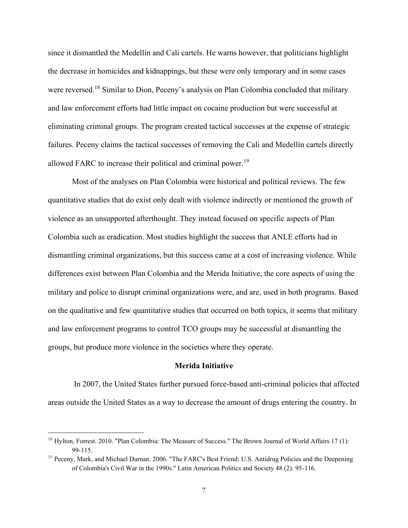since it dismantled the Medellín and Cali cartels. He warns however, that politicians highlight the decrease in homicides and kidnappings, but these were only temporary and in some cases were reversed.<sup>18</sup> Similar to Dion, Peceny's analysis on Plan Colombia concluded that military and law enforcement efforts had little impact on cocaine production but were successful at eliminating criminal groups. The program created tactical successes at the expense of strategic failures. Peceny claims the tactical successes of removing the Cali and Medellín cartels directly allowed FARC to increase their political and criminal power.<sup>19</sup>

Most of the analyses on Plan Colombia were historical and political reviews. The few quantitative studies that do exist only dealt with violence indirectly or mentioned the growth of violence as an unsupported afterthought. They instead focused on specific aspects of Plan Colombia such as eradication. Most studies highlight the success that ANLE efforts had in dismantling criminal organizations, but this success came at a cost of increasing violence. While differences exist between Plan Colombia and the Merida Initiative, the core aspects of using the military and police to disrupt criminal organizations were, and are, used in both programs. Based on the qualitative and few quantitative studies that occurred on both topics, it seems that military and law enforcement programs to control TCO groups may be successful at dismantling the groups, but produce more violence in the societies where they operate.

#### **Merida Initiative**

In 2007, the United States further pursued force-based anti-criminal policies that affected areas outside the United States as a way to decrease the amount of drugs entering the country. In

<sup>&</sup>lt;sup>18</sup> Hylton, Forrest. 2010. "Plan Colombia: The Measure of Success." The Brown Journal of World Affairs 17 (1): 99-115.

 $19$  Peceny, Mark, and Michael Durnan. 2006. "The FARC's Best Friend: U.S. Antidrug Policies and the Deepening of Colombia's Civil War in the 1990s." Latin American Politics and Society 48 (2): 95-116.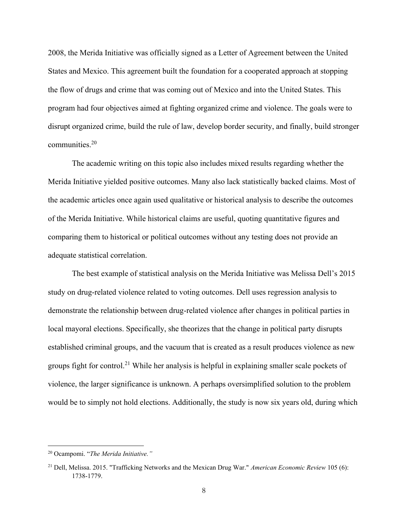2008, the Merida Initiative was officially signed as a Letter of Agreement between the United States and Mexico. This agreement built the foundation for a cooperated approach at stopping the flow of drugs and crime that was coming out of Mexico and into the United States. This program had four objectives aimed at fighting organized crime and violence. The goals were to disrupt organized crime, build the rule of law, develop border security, and finally, build stronger communities.<sup>20</sup>

The academic writing on this topic also includes mixed results regarding whether the Merida Initiative yielded positive outcomes. Many also lack statistically backed claims. Most of the academic articles once again used qualitative or historical analysis to describe the outcomes of the Merida Initiative. While historical claims are useful, quoting quantitative figures and comparing them to historical or political outcomes without any testing does not provide an adequate statistical correlation.

The best example of statistical analysis on the Merida Initiative was Melissa Dell's 2015 study on drug-related violence related to voting outcomes. Dell uses regression analysis to demonstrate the relationship between drug-related violence after changes in political parties in local mayoral elections. Specifically, she theorizes that the change in political party disrupts established criminal groups, and the vacuum that is created as a result produces violence as new groups fight for control.<sup>21</sup> While her analysis is helpful in explaining smaller scale pockets of violence, the larger significance is unknown. A perhaps oversimplified solution to the problem would be to simply not hold elections. Additionally, the study is now six years old, during which

<sup>20</sup> Ocampomi. "*The Merida Initiative."*

<sup>21</sup> Dell, Melissa. 2015. "Trafficking Networks and the Mexican Drug War." *American Economic Review* 105 (6): 1738-1779.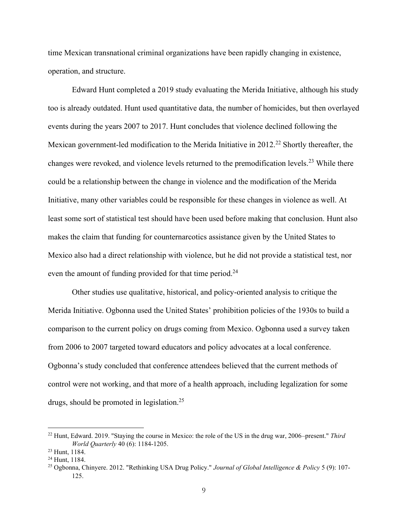time Mexican transnational criminal organizations have been rapidly changing in existence, operation, and structure.

Edward Hunt completed a 2019 study evaluating the Merida Initiative, although his study too is already outdated. Hunt used quantitative data, the number of homicides, but then overlayed events during the years 2007 to 2017. Hunt concludes that violence declined following the Mexican government-led modification to the Merida Initiative in 2012.<sup>22</sup> Shortly thereafter, the changes were revoked, and violence levels returned to the premodification levels.<sup>23</sup> While there could be a relationship between the change in violence and the modification of the Merida Initiative, many other variables could be responsible for these changes in violence as well. At least some sort of statistical test should have been used before making that conclusion. Hunt also makes the claim that funding for counternarcotics assistance given by the United States to Mexico also had a direct relationship with violence, but he did not provide a statistical test, nor even the amount of funding provided for that time period.<sup>24</sup>

Other studies use qualitative, historical, and policy-oriented analysis to critique the Merida Initiative. Ogbonna used the United States' prohibition policies of the 1930s to build a comparison to the current policy on drugs coming from Mexico. Ogbonna used a survey taken from 2006 to 2007 targeted toward educators and policy advocates at a local conference. Ogbonna's study concluded that conference attendees believed that the current methods of control were not working, and that more of a health approach, including legalization for some drugs, should be promoted in legislation.<sup>25</sup>

<sup>22</sup> Hunt, Edward. 2019. "Staying the course in Mexico: the role of the US in the drug war, 2006–present." *Third World Quarterly* 40 (6): 1184-1205.

<sup>23</sup> Hunt, 1184.

<sup>24</sup> Hunt, 1184.

<sup>25</sup> Ogbonna, Chinyere. 2012. "Rethinking USA Drug Policy." *Journal of Global Intelligence & Policy* 5 (9): 107- 125.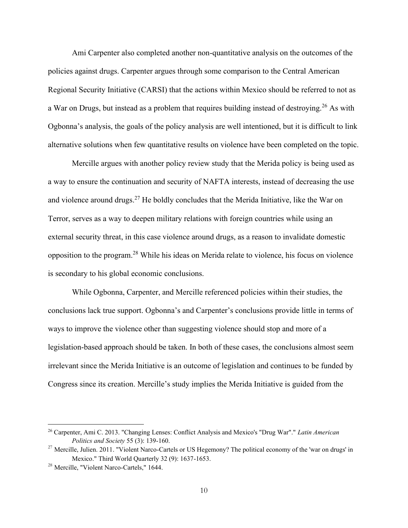Ami Carpenter also completed another non-quantitative analysis on the outcomes of the policies against drugs. Carpenter argues through some comparison to the Central American Regional Security Initiative (CARSI) that the actions within Mexico should be referred to not as a War on Drugs, but instead as a problem that requires building instead of destroying.<sup>26</sup> As with Ogbonna's analysis, the goals of the policy analysis are well intentioned, but it is difficult to link alternative solutions when few quantitative results on violence have been completed on the topic.

Mercille argues with another policy review study that the Merida policy is being used as a way to ensure the continuation and security of NAFTA interests, instead of decreasing the use and violence around drugs.<sup>27</sup> He boldly concludes that the Merida Initiative, like the War on Terror, serves as a way to deepen military relations with foreign countries while using an external security threat, in this case violence around drugs, as a reason to invalidate domestic opposition to the program.<sup>28</sup> While his ideas on Merida relate to violence, his focus on violence is secondary to his global economic conclusions.

While Ogbonna, Carpenter, and Mercille referenced policies within their studies, the conclusions lack true support. Ogbonna's and Carpenter's conclusions provide little in terms of ways to improve the violence other than suggesting violence should stop and more of a legislation-based approach should be taken. In both of these cases, the conclusions almost seem irrelevant since the Merida Initiative is an outcome of legislation and continues to be funded by Congress since its creation. Mercille's study implies the Merida Initiative is guided from the

<sup>26</sup> Carpenter, Ami C. 2013. "Changing Lenses: Conflict Analysis and Mexico's "Drug War"." *Latin American Politics and Society* 55 (3): 139-160.

<sup>&</sup>lt;sup>27</sup> Mercille, Julien. 2011. "Violent Narco-Cartels or US Hegemony? The political economy of the 'war on drugs' in Mexico." Third World Quarterly 32 (9): 1637-1653.

<sup>28</sup> Mercille, "Violent Narco-Cartels," 1644.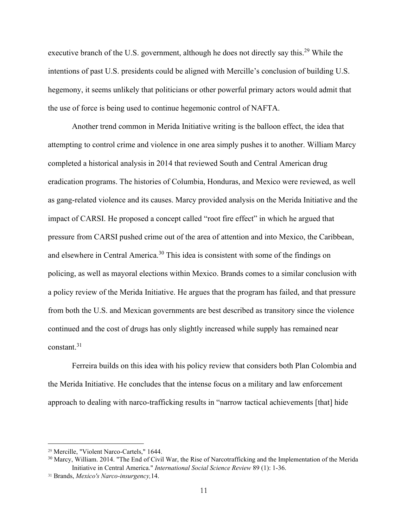executive branch of the U.S. government, although he does not directly say this.<sup>29</sup> While the intentions of past U.S. presidents could be aligned with Mercille's conclusion of building U.S. hegemony, it seems unlikely that politicians or other powerful primary actors would admit that the use of force is being used to continue hegemonic control of NAFTA.

Another trend common in Merida Initiative writing is the balloon effect, the idea that attempting to control crime and violence in one area simply pushes it to another. William Marcy completed a historical analysis in 2014 that reviewed South and Central American drug eradication programs. The histories of Columbia, Honduras, and Mexico were reviewed, as well as gang-related violence and its causes. Marcy provided analysis on the Merida Initiative and the impact of CARSI. He proposed a concept called "root fire effect" in which he argued that pressure from CARSI pushed crime out of the area of attention and into Mexico, the Caribbean, and elsewhere in Central America.<sup>30</sup> This idea is consistent with some of the findings on policing, as well as mayoral elections within Mexico. Brands comes to a similar conclusion with a policy review of the Merida Initiative. He argues that the program has failed, and that pressure from both the U.S. and Mexican governments are best described as transitory since the violence continued and the cost of drugs has only slightly increased while supply has remained near constant.<sup>31</sup>

Ferreira builds on this idea with his policy review that considers both Plan Colombia and the Merida Initiative. He concludes that the intense focus on a military and law enforcement approach to dealing with narco-trafficking results in "narrow tactical achievements [that] hide

<sup>29</sup> Mercille, "Violent Narco-Cartels," 1644.

<sup>&</sup>lt;sup>30</sup> Marcy, William. 2014. "The End of Civil War, the Rise of Narcotrafficking and the Implementation of the Merida Initiative in Central America." *International Social Science Review* 89 (1): 1-36.

<sup>31</sup> Brands, *Mexico's Narco-insurgency,*14.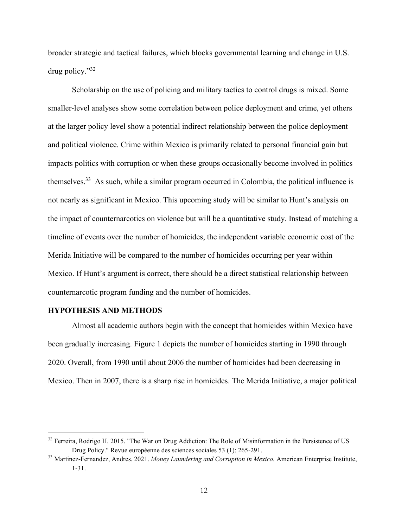broader strategic and tactical failures, which blocks governmental learning and change in U.S. drug policy."32

Scholarship on the use of policing and military tactics to control drugs is mixed. Some smaller-level analyses show some correlation between police deployment and crime, yet others at the larger policy level show a potential indirect relationship between the police deployment and political violence. Crime within Mexico is primarily related to personal financial gain but impacts politics with corruption or when these groups occasionally become involved in politics themselves.<sup>33</sup> As such, while a similar program occurred in Colombia, the political influence is not nearly as significant in Mexico. This upcoming study will be similar to Hunt's analysis on the impact of counternarcotics on violence but will be a quantitative study. Instead of matching a timeline of events over the number of homicides, the independent variable economic cost of the Merida Initiative will be compared to the number of homicides occurring per year within Mexico. If Hunt's argument is correct, there should be a direct statistical relationship between counternarcotic program funding and the number of homicides.

### **HYPOTHESIS AND METHODS**

Almost all academic authors begin with the concept that homicides within Mexico have been gradually increasing. Figure 1 depicts the number of homicides starting in 1990 through 2020. Overall, from 1990 until about 2006 the number of homicides had been decreasing in Mexico. Then in 2007, there is a sharp rise in homicides. The Merida Initiative, a major political

<sup>&</sup>lt;sup>32</sup> Ferreira, Rodrigo H. 2015. "The War on Drug Addiction: The Role of Misinformation in the Persistence of US Drug Policy." Revue européenne des sciences sociales 53 (1): 265-291.

<sup>33</sup> Martinez-Fernandez, Andres. 2021. *Money Laundering and Corruption in Mexico.* American Enterprise Institute, 1-31.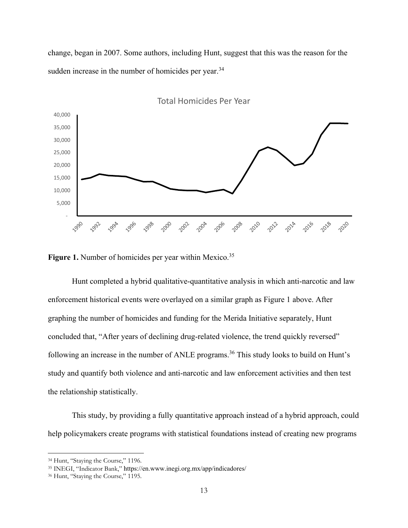change, began in 2007. Some authors, including Hunt, suggest that this was the reason for the sudden increase in the number of homicides per year.<sup>34</sup>



Figure 1. Number of homicides per year within Mexico.<sup>35</sup>

Hunt completed a hybrid qualitative-quantitative analysis in which anti-narcotic and law enforcement historical events were overlayed on a similar graph as Figure 1 above. After graphing the number of homicides and funding for the Merida Initiative separately, Hunt concluded that, "After years of declining drug-related violence, the trend quickly reversed" following an increase in the number of ANLE programs.<sup>36</sup> This study looks to build on Hunt's study and quantify both violence and anti-narcotic and law enforcement activities and then test the relationship statistically.

This study, by providing a fully quantitative approach instead of a hybrid approach, could help policymakers create programs with statistical foundations instead of creating new programs

<sup>34</sup> Hunt, "Staying the Course," 1196.

<sup>35</sup> INEGI, "Indicator Bank," https://en.www.inegi.org.mx/app/indicadores/

<sup>36</sup> Hunt, "Staying the Course," 1195.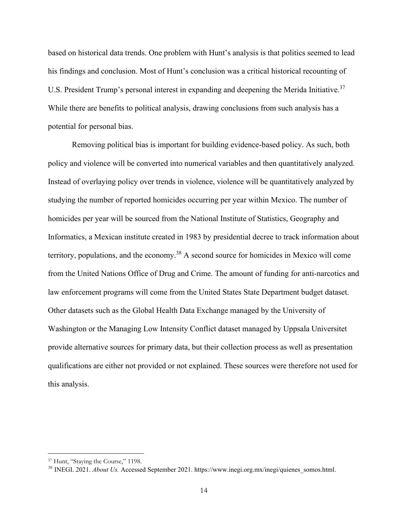based on historical data trends. One problem with Hunt's analysis is that politics seemed to lead his findings and conclusion. Most of Hunt's conclusion was a critical historical recounting of U.S. President Trump's personal interest in expanding and deepening the Merida Initiative.<sup>37</sup> While there are benefits to political analysis, drawing conclusions from such analysis has a potential for personal bias.

Removing political bias is important for building evidence-based policy. As such, both policy and violence will be converted into numerical variables and then quantitatively analyzed. Instead of overlaying policy over trends in violence, violence will be quantitatively analyzed by studying the number of reported homicides occurring per year within Mexico. The number of homicides per year will be sourced from the National Institute of Statistics, Geography and Informatics, a Mexican institute created in 1983 by presidential decree to track information about territory, populations, and the economy.<sup>38</sup> A second source for homicides in Mexico will come from the United Nations Office of Drug and Crime. The amount of funding for anti-narcotics and law enforcement programs will come from the United States State Department budget dataset. Other datasets such as the Global Health Data Exchange managed by the University of Washington or the Managing Low Intensity Conflict dataset managed by Uppsala Universitet provide alternative sources for primary data, but their collection process as well as presentation qualifications are either not provided or not explained. These sources were therefore not used for this analysis.

<sup>&</sup>lt;sup>37</sup> Hunt, "Staying the Course," 1198.

<sup>&</sup>lt;sup>38</sup> INEGI. 2021. *About Us.* Accessed September 2021. https://www.inegi.org.mx/inegi/quienes\_somos.html.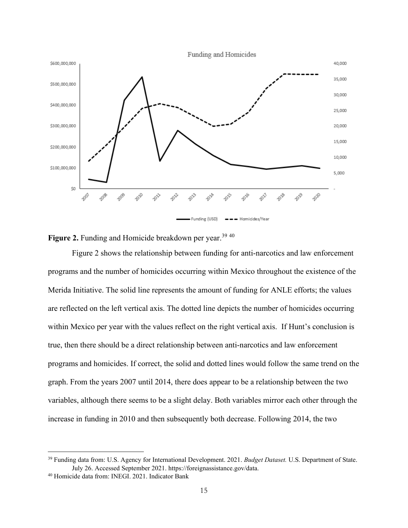



Figure 2 shows the relationship between funding for anti-narcotics and law enforcement programs and the number of homicides occurring within Mexico throughout the existence of the Merida Initiative. The solid line represents the amount of funding for ANLE efforts; the values are reflected on the left vertical axis. The dotted line depicts the number of homicides occurring within Mexico per year with the values reflect on the right vertical axis. If Hunt's conclusion is true, then there should be a direct relationship between anti-narcotics and law enforcement programs and homicides. If correct, the solid and dotted lines would follow the same trend on the graph. From the years 2007 until 2014, there does appear to be a relationship between the two variables, although there seems to be a slight delay. Both variables mirror each other through the increase in funding in 2010 and then subsequently both decrease. Following 2014, the two

<sup>39</sup> Funding data from: U.S. Agency for International Development. 2021. *Budget Dataset.* U.S. Department of State. July 26. Accessed September 2021. https://foreignassistance.gov/data.

<sup>40</sup> Homicide data from: INEGI. 2021. Indicator Bank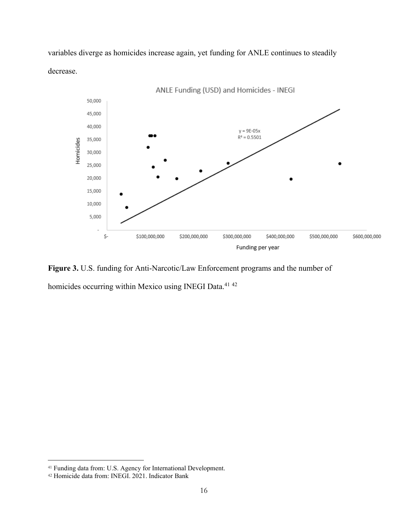variables diverge as homicides increase again, yet funding for ANLE continues to steadily decrease.



**Figure 3.** U.S. funding for Anti-Narcotic/Law Enforcement programs and the number of

homicides occurring within Mexico using INEGI Data.<sup>41 42</sup>

<sup>41</sup> Funding data from: U.S. Agency for International Development.

<sup>42</sup> Homicide data from: INEGI. 2021. Indicator Bank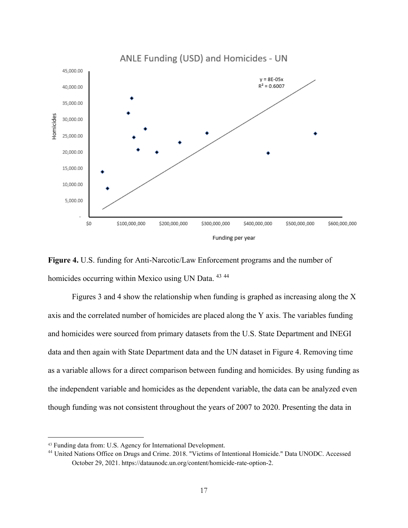

**Figure 4.** U.S. funding for Anti-Narcotic/Law Enforcement programs and the number of homicides occurring within Mexico using UN Data. <sup>43 44</sup>

Figures 3 and 4 show the relationship when funding is graphed as increasing along the X axis and the correlated number of homicides are placed along the Y axis. The variables funding and homicides were sourced from primary datasets from the U.S. State Department and INEGI data and then again with State Department data and the UN dataset in Figure 4. Removing time as a variable allows for a direct comparison between funding and homicides. By using funding as the independent variable and homicides as the dependent variable, the data can be analyzed even though funding was not consistent throughout the years of 2007 to 2020. Presenting the data in

<sup>43</sup> Funding data from: U.S. Agency for International Development.

<sup>&</sup>lt;sup>44</sup> United Nations Office on Drugs and Crime. 2018. "Victims of Intentional Homicide." Data UNODC. Accessed October 29, 2021. https://dataunodc.un.org/content/homicide-rate-option-2.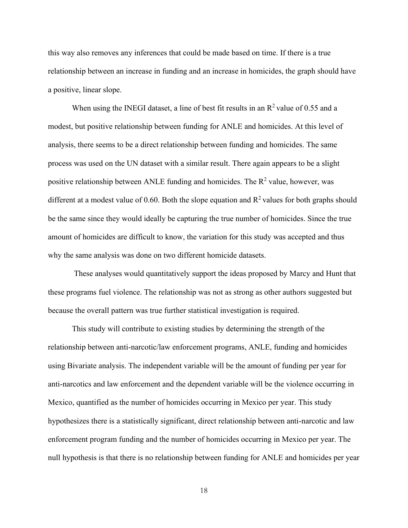this way also removes any inferences that could be made based on time. If there is a true relationship between an increase in funding and an increase in homicides, the graph should have a positive, linear slope.

When using the INEGI dataset, a line of best fit results in an  $R^2$  value of 0.55 and a modest, but positive relationship between funding for ANLE and homicides. At this level of analysis, there seems to be a direct relationship between funding and homicides. The same process was used on the UN dataset with a similar result. There again appears to be a slight positive relationship between ANLE funding and homicides. The  $R^2$  value, however, was different at a modest value of 0.60. Both the slope equation and  $R^2$  values for both graphs should be the same since they would ideally be capturing the true number of homicides. Since the true amount of homicides are difficult to know, the variation for this study was accepted and thus why the same analysis was done on two different homicide datasets.

These analyses would quantitatively support the ideas proposed by Marcy and Hunt that these programs fuel violence. The relationship was not as strong as other authors suggested but because the overall pattern was true further statistical investigation is required.

This study will contribute to existing studies by determining the strength of the relationship between anti-narcotic/law enforcement programs, ANLE, funding and homicides using Bivariate analysis. The independent variable will be the amount of funding per year for anti-narcotics and law enforcement and the dependent variable will be the violence occurring in Mexico, quantified as the number of homicides occurring in Mexico per year. This study hypothesizes there is a statistically significant, direct relationship between anti-narcotic and law enforcement program funding and the number of homicides occurring in Mexico per year. The null hypothesis is that there is no relationship between funding for ANLE and homicides per year

18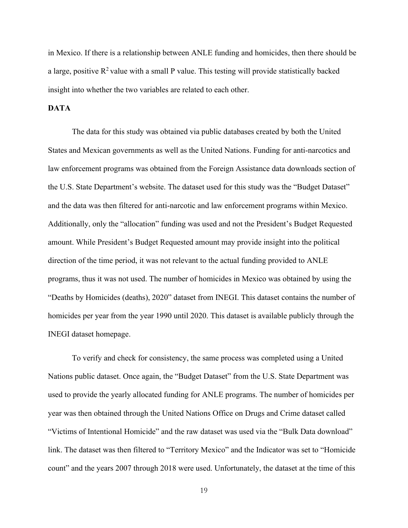in Mexico. If there is a relationship between ANLE funding and homicides, then there should be a large, positive  $R^2$  value with a small P value. This testing will provide statistically backed insight into whether the two variables are related to each other.

## **DATA**

The data for this study was obtained via public databases created by both the United States and Mexican governments as well as the United Nations. Funding for anti-narcotics and law enforcement programs was obtained from the Foreign Assistance data downloads section of the U.S. State Department's website. The dataset used for this study was the "Budget Dataset" and the data was then filtered for anti-narcotic and law enforcement programs within Mexico. Additionally, only the "allocation" funding was used and not the President's Budget Requested amount. While President's Budget Requested amount may provide insight into the political direction of the time period, it was not relevant to the actual funding provided to ANLE programs, thus it was not used. The number of homicides in Mexico was obtained by using the "Deaths by Homicides (deaths), 2020" dataset from INEGI. This dataset contains the number of homicides per year from the year 1990 until 2020. This dataset is available publicly through the INEGI dataset homepage.

To verify and check for consistency, the same process was completed using a United Nations public dataset. Once again, the "Budget Dataset" from the U.S. State Department was used to provide the yearly allocated funding for ANLE programs. The number of homicides per year was then obtained through the United Nations Office on Drugs and Crime dataset called "Victims of Intentional Homicide" and the raw dataset was used via the "Bulk Data download" link. The dataset was then filtered to "Territory Mexico" and the Indicator was set to "Homicide count" and the years 2007 through 2018 were used. Unfortunately, the dataset at the time of this

19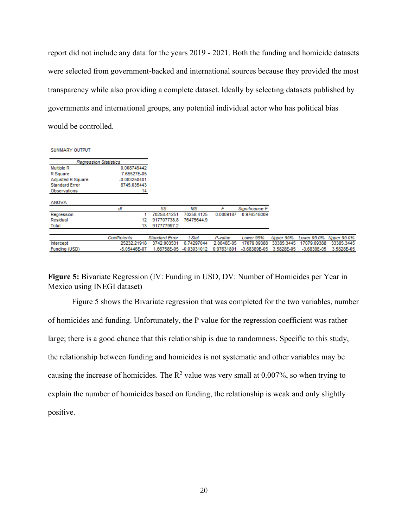report did not include any data for the years 2019 - 2021. Both the funding and homicide datasets were selected from government-backed and international sources because they provided the most transparency while also providing a complete dataset. Ideally by selecting datasets published by governments and international groups, any potential individual actor who has political bias would be controlled.

SUMMARY OUTPUT

| <b>Regression Statistics</b> |                  |                       |             |            |                  |            |                 |             |
|------------------------------|------------------|-----------------------|-------------|------------|------------------|------------|-----------------|-------------|
| Multiple R                   | 0.008749442      |                       |             |            |                  |            |                 |             |
| R Square                     | 7.65527E-05      |                       |             |            |                  |            |                 |             |
| <b>Adjusted R Square</b>     | $-0.083250401$   |                       |             |            |                  |            |                 |             |
| <b>Standard Error</b>        | 8745.035443      |                       |             |            |                  |            |                 |             |
| <b>Observations</b>          | 14               |                       |             |            |                  |            |                 |             |
| <b>ANOVA</b>                 |                  |                       |             |            |                  |            |                 |             |
|                              | df               | SS                    | мs          | F          | Significance F   |            |                 |             |
| Regression                   |                  | 70258.41251           | 70258.4125  | 0.0009187  | 0.976318009      |            |                 |             |
| Residual                     | 12               | 917707738.8           | 76475644.9  |            |                  |            |                 |             |
| Total                        | 13               | 917777997.2           |             |            |                  |            |                 |             |
|                              | Coefficients     | <b>Standard Error</b> | t Stat      | P-value    | Lower 95%        | Upper 95%  | Lower 95.0%     | Upper 95.0% |
| Intercept                    | 25232.21918      | 3742.003531           | 6.74297044  | 2.0646E-05 | 17079.09388      | 33385.3445 | 17079.09388     | 33385.3445  |
| Funding (USD)                | $-5.05446E - 07$ | 1.66758E-05           | -0.03031012 | 0.97631801 | $-3.68389E - 05$ | 3.5828E-05 | $-3.6839E - 05$ | 3.5828E-05  |

**Figure 5:** Bivariate Regression (IV: Funding in USD, DV: Number of Homicides per Year in Mexico using INEGI dataset)

Figure 5 shows the Bivariate regression that was completed for the two variables, number of homicides and funding. Unfortunately, the P value for the regression coefficient was rather large; there is a good chance that this relationship is due to randomness. Specific to this study, the relationship between funding and homicides is not systematic and other variables may be causing the increase of homicides. The  $R^2$  value was very small at 0.007%, so when trying to explain the number of homicides based on funding, the relationship is weak and only slightly positive.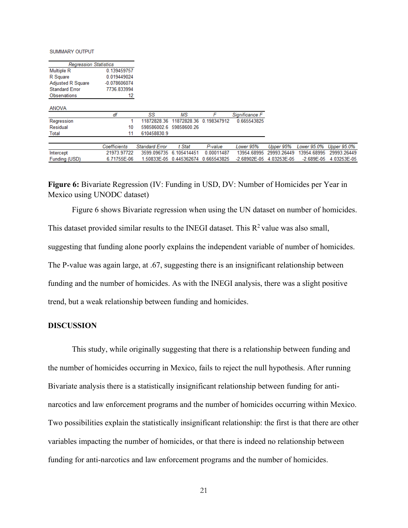SUMMARY OUTPUT

| <b>Regression Statistics</b> |                |                       |                         |             |                  |             |                |             |
|------------------------------|----------------|-----------------------|-------------------------|-------------|------------------|-------------|----------------|-------------|
| <b>Multiple R</b>            | 0.139459757    |                       |                         |             |                  |             |                |             |
| R Square                     | 0.019449024    |                       |                         |             |                  |             |                |             |
| <b>Adjusted R Square</b>     | $-0.078606074$ |                       |                         |             |                  |             |                |             |
| <b>Standard Error</b>        | 7736.833994    |                       |                         |             |                  |             |                |             |
| Observations                 | 12             |                       |                         |             |                  |             |                |             |
| <b>ANOVA</b>                 |                |                       |                         |             |                  |             |                |             |
|                              | df             | SS                    | MS                      |             | Significance F   |             |                |             |
| Regression                   |                | 11872828.36           | 11872828.36             | 0.198347912 | 0.665543825      |             |                |             |
| Residual                     | 10             |                       | 598586002.6 59858600.26 |             |                  |             |                |             |
| Total                        | 11             | 610458830.9           |                         |             |                  |             |                |             |
|                              | Coefficients   | <b>Standard Error</b> | t Stat                  | P-value     | Lower 95%        | Upper 95%   | Lower 95.0%    | Upper 95.0% |
| Intercept                    | 21973.97722    | 3599.096735           | 6.105414451             | 0.00011487  | 13954.68995      | 29993.26449 | 13954.68995    | 29993.26449 |
| Funding (USD)                | 6.71755E-06    |                       | 1.50833E-05 0.445362674 | 0.665543825 | $-2.68902E - 05$ | 4.03253E-05 | $-2.689E - 05$ | 4.03253E-05 |

**Figure 6:** Bivariate Regression (IV: Funding in USD, DV: Number of Homicides per Year in Mexico using UNODC dataset)

Figure 6 shows Bivariate regression when using the UN dataset on number of homicides. This dataset provided similar results to the INEGI dataset. This  $R^2$  value was also small, suggesting that funding alone poorly explains the independent variable of number of homicides. The P-value was again large, at .67, suggesting there is an insignificant relationship between funding and the number of homicides. As with the INEGI analysis, there was a slight positive trend, but a weak relationship between funding and homicides.

#### **DISCUSSION**

This study, while originally suggesting that there is a relationship between funding and the number of homicides occurring in Mexico, fails to reject the null hypothesis. After running Bivariate analysis there is a statistically insignificant relationship between funding for antinarcotics and law enforcement programs and the number of homicides occurring within Mexico. Two possibilities explain the statistically insignificant relationship: the first is that there are other variables impacting the number of homicides, or that there is indeed no relationship between funding for anti-narcotics and law enforcement programs and the number of homicides.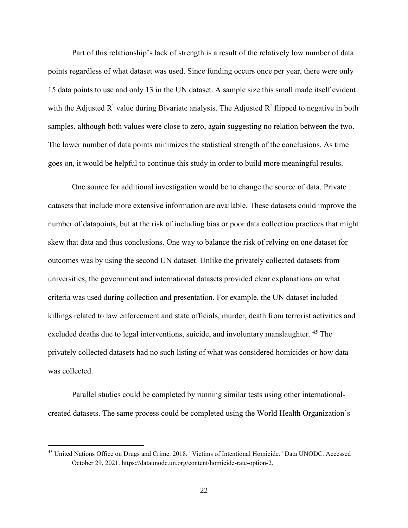Part of this relationship's lack of strength is a result of the relatively low number of data points regardless of what dataset was used. Since funding occurs once per year, there were only 15 data points to use and only 13 in the UN dataset. A sample size this small made itself evident with the Adjusted  $\mathbb{R}^2$  value during Bivariate analysis. The Adjusted  $\mathbb{R}^2$  flipped to negative in both samples, although both values were close to zero, again suggesting no relation between the two. The lower number of data points minimizes the statistical strength of the conclusions. As time goes on, it would be helpful to continue this study in order to build more meaningful results.

One source for additional investigation would be to change the source of data. Private datasets that include more extensive information are available. These datasets could improve the number of datapoints, but at the risk of including bias or poor data collection practices that might skew that data and thus conclusions. One way to balance the risk of relying on one dataset for outcomes was by using the second UN dataset. Unlike the privately collected datasets from universities, the government and international datasets provided clear explanations on what criteria was used during collection and presentation. For example, the UN dataset included killings related to law enforcement and state officials, murder, death from terrorist activities and excluded deaths due to legal interventions, suicide, and involuntary manslaughter. <sup>45</sup> The privately collected datasets had no such listing of what was considered homicides or how data was collected.

Parallel studies could be completed by running similar tests using other internationalcreated datasets. The same process could be completed using the World Health Organization's

<sup>&</sup>lt;sup>45</sup> United Nations Office on Drugs and Crime. 2018. "Victims of Intentional Homicide." Data UNODC. Accessed October 29, 2021. https://dataunodc.un.org/content/homicide-rate-option-2.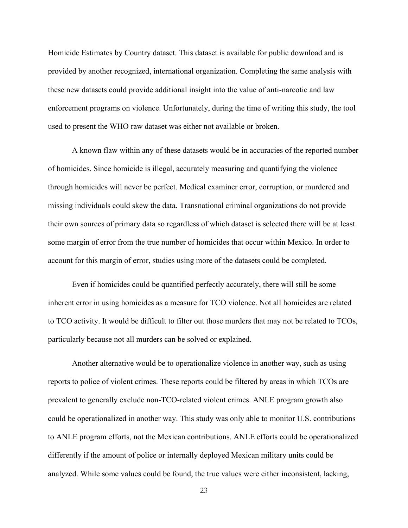Homicide Estimates by Country dataset. This dataset is available for public download and is provided by another recognized, international organization. Completing the same analysis with these new datasets could provide additional insight into the value of anti-narcotic and law enforcement programs on violence. Unfortunately, during the time of writing this study, the tool used to present the WHO raw dataset was either not available or broken.

A known flaw within any of these datasets would be in accuracies of the reported number of homicides. Since homicide is illegal, accurately measuring and quantifying the violence through homicides will never be perfect. Medical examiner error, corruption, or murdered and missing individuals could skew the data. Transnational criminal organizations do not provide their own sources of primary data so regardless of which dataset is selected there will be at least some margin of error from the true number of homicides that occur within Mexico. In order to account for this margin of error, studies using more of the datasets could be completed.

Even if homicides could be quantified perfectly accurately, there will still be some inherent error in using homicides as a measure for TCO violence. Not all homicides are related to TCO activity. It would be difficult to filter out those murders that may not be related to TCOs, particularly because not all murders can be solved or explained.

Another alternative would be to operationalize violence in another way, such as using reports to police of violent crimes. These reports could be filtered by areas in which TCOs are prevalent to generally exclude non-TCO-related violent crimes. ANLE program growth also could be operationalized in another way. This study was only able to monitor U.S. contributions to ANLE program efforts, not the Mexican contributions. ANLE efforts could be operationalized differently if the amount of police or internally deployed Mexican military units could be analyzed. While some values could be found, the true values were either inconsistent, lacking,

23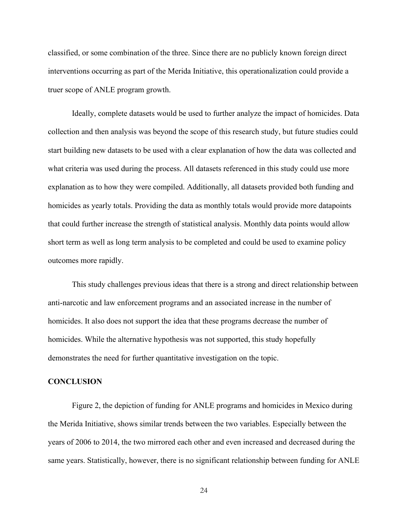classified, or some combination of the three. Since there are no publicly known foreign direct interventions occurring as part of the Merida Initiative, this operationalization could provide a truer scope of ANLE program growth.

Ideally, complete datasets would be used to further analyze the impact of homicides. Data collection and then analysis was beyond the scope of this research study, but future studies could start building new datasets to be used with a clear explanation of how the data was collected and what criteria was used during the process. All datasets referenced in this study could use more explanation as to how they were compiled. Additionally, all datasets provided both funding and homicides as yearly totals. Providing the data as monthly totals would provide more datapoints that could further increase the strength of statistical analysis. Monthly data points would allow short term as well as long term analysis to be completed and could be used to examine policy outcomes more rapidly.

This study challenges previous ideas that there is a strong and direct relationship between anti-narcotic and law enforcement programs and an associated increase in the number of homicides. It also does not support the idea that these programs decrease the number of homicides. While the alternative hypothesis was not supported, this study hopefully demonstrates the need for further quantitative investigation on the topic.

#### **CONCLUSION**

Figure 2, the depiction of funding for ANLE programs and homicides in Mexico during the Merida Initiative, shows similar trends between the two variables. Especially between the years of 2006 to 2014, the two mirrored each other and even increased and decreased during the same years. Statistically, however, there is no significant relationship between funding for ANLE

24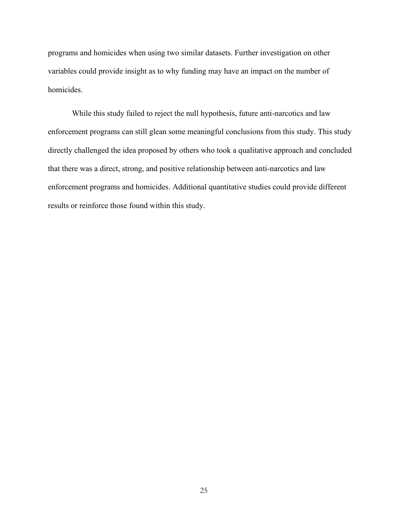programs and homicides when using two similar datasets. Further investigation on other variables could provide insight as to why funding may have an impact on the number of homicides.

While this study failed to reject the null hypothesis, future anti-narcotics and law enforcement programs can still glean some meaningful conclusions from this study. This study directly challenged the idea proposed by others who took a qualitative approach and concluded that there was a direct, strong, and positive relationship between anti-narcotics and law enforcement programs and homicides. Additional quantitative studies could provide different results or reinforce those found within this study.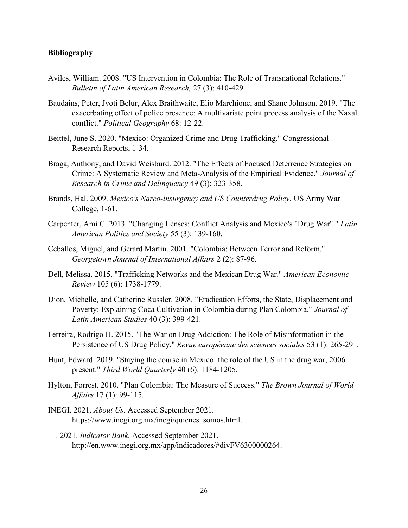#### **Bibliography**

- Aviles, William. 2008. "US Intervention in Colombia: The Role of Transnational Relations." *Bulletin of Latin American Research,* 27 (3): 410-429.
- Baudains, Peter, Jyoti Belur, Alex Braithwaite, Elio Marchione, and Shane Johnson. 2019. "The exacerbating effect of police presence: A multivariate point process analysis of the Naxal conflict." *Political Geography* 68: 12-22.
- Beittel, June S. 2020. "Mexico: Organized Crime and Drug Trafficking." Congressional Research Reports, 1-34.
- Braga, Anthony, and David Weisburd. 2012. "The Effects of Focused Deterrence Strategies on Crime: A Systematic Review and Meta-Analysis of the Empirical Evidence." *Journal of Research in Crime and Delinquency* 49 (3): 323-358.
- Brands, Hal. 2009. *Mexico's Narco-insurgency and US Counterdrug Policy.* US Army War College, 1-61.
- Carpenter, Ami C. 2013. "Changing Lenses: Conflict Analysis and Mexico's "Drug War"." *Latin American Politics and Society* 55 (3): 139-160.
- Ceballos, Miguel, and Gerard Martin. 2001. "Colombia: Between Terror and Reform." *Georgetown Journal of International Affairs* 2 (2): 87-96.
- Dell, Melissa. 2015. "Trafficking Networks and the Mexican Drug War." *American Economic Review* 105 (6): 1738-1779.
- Dion, Michelle, and Catherine Russler. 2008. "Eradication Efforts, the State, Displacement and Poverty: Explaining Coca Cultivation in Colombia during Plan Colombia." *Journal of Latin American Studies* 40 (3): 399-421.
- Ferreira, Rodrigo H. 2015. "The War on Drug Addiction: The Role of Misinformation in the Persistence of US Drug Policy." *Revue européenne des sciences sociales* 53 (1): 265-291.
- Hunt, Edward. 2019. "Staying the course in Mexico: the role of the US in the drug war, 2006– present." *Third World Quarterly* 40 (6): 1184-1205.
- Hylton, Forrest. 2010. "Plan Colombia: The Measure of Success." *The Brown Journal of World Affairs* 17 (1): 99-115.
- INEGI. 2021. *About Us.* Accessed September 2021. https://www.inegi.org.mx/inegi/quienes\_somos.html.
- —. 2021. *Indicator Bank.* Accessed September 2021. http://en.www.inegi.org.mx/app/indicadores/#divFV6300000264.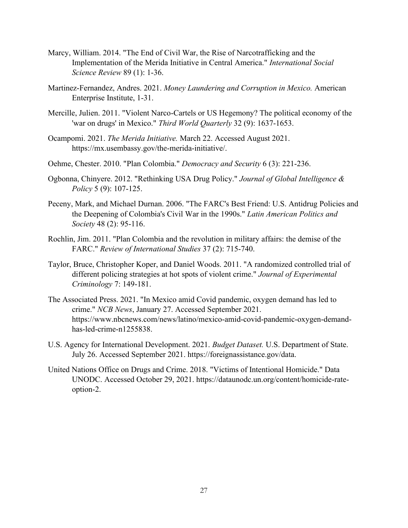- Marcy, William. 2014. "The End of Civil War, the Rise of Narcotrafficking and the Implementation of the Merida Initiative in Central America." *International Social Science Review* 89 (1): 1-36.
- Martinez-Fernandez, Andres. 2021. *Money Laundering and Corruption in Mexico.* American Enterprise Institute, 1-31.
- Mercille, Julien. 2011. "Violent Narco-Cartels or US Hegemony? The political economy of the 'war on drugs' in Mexico." *Third World Quarterly* 32 (9): 1637-1653.
- Ocampomi. 2021. *The Merida Initiative.* March 22. Accessed August 2021. https://mx.usembassy.gov/the-merida-initiative/.
- Oehme, Chester. 2010. "Plan Colombia." *Democracy and Security* 6 (3): 221-236.
- Ogbonna, Chinyere. 2012. "Rethinking USA Drug Policy." *Journal of Global Intelligence & Policy* 5 (9): 107-125.
- Peceny, Mark, and Michael Durnan. 2006. "The FARC's Best Friend: U.S. Antidrug Policies and the Deepening of Colombia's Civil War in the 1990s." *Latin American Politics and Society* 48 (2): 95-116.
- Rochlin, Jim. 2011. "Plan Colombia and the revolution in military affairs: the demise of the FARC." *Review of International Studies* 37 (2): 715-740.
- Taylor, Bruce, Christopher Koper, and Daniel Woods. 2011. "A randomized controlled trial of different policing strategies at hot spots of violent crime." *Journal of Experimental Criminology* 7: 149-181.
- The Associated Press. 2021. "In Mexico amid Covid pandemic, oxygen demand has led to crime." *NCB News*, January 27. Accessed September 2021. https://www.nbcnews.com/news/latino/mexico-amid-covid-pandemic-oxygen-demandhas-led-crime-n1255838.
- U.S. Agency for International Development. 2021. *Budget Dataset.* U.S. Department of State. July 26. Accessed September 2021. https://foreignassistance.gov/data.
- United Nations Office on Drugs and Crime. 2018. "Victims of Intentional Homicide." Data UNODC. Accessed October 29, 2021. https://dataunodc.un.org/content/homicide-rateoption-2.